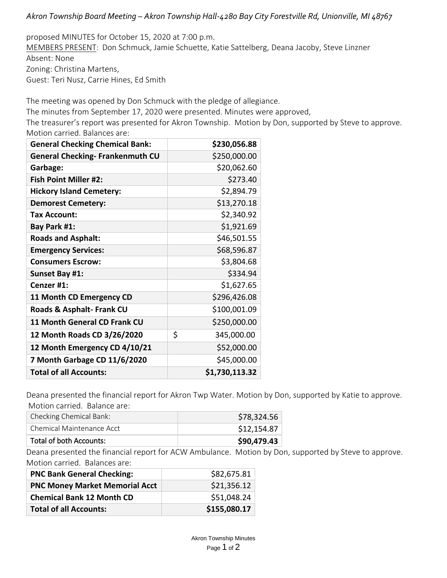## *Akron Township Board Meeting – Akron Township Hall-4280 Bay City Forestville Rd, Unionville, MI 48767*

proposed MINUTES for October 15, 2020 at 7:00 p.m. MEMBERS PRESENT: Don Schmuck, Jamie Schuette, Katie Sattelberg, Deana Jacoby, Steve Linzner Absent: None Zoning: Christina Martens, Guest: Teri Nusz, Carrie Hines, Ed Smith

The meeting was opened by Don Schmuck with the pledge of allegiance.

The minutes from September 17, 2020 were presented. Minutes were approved,

The treasurer's report was presented for Akron Township. Motion by Don, supported by Steve to approve. Motion carried. Balances are:

| <b>General Checking Chemical Bank:</b>  | \$230,056.88     |
|-----------------------------------------|------------------|
| <b>General Checking- Frankenmuth CU</b> | \$250,000.00     |
| Garbage:                                | \$20,062.60      |
| <b>Fish Point Miller #2:</b>            | \$273.40         |
| <b>Hickory Island Cemetery:</b>         | \$2,894.79       |
| <b>Demorest Cemetery:</b>               | \$13,270.18      |
| Tax Account:                            | \$2,340.92       |
| Bay Park #1:                            | \$1,921.69       |
| <b>Roads and Asphalt:</b>               | \$46,501.55      |
| <b>Emergency Services:</b>              | \$68,596.87      |
| <b>Consumers Escrow:</b>                | \$3,804.68       |
| <b>Sunset Bay #1:</b>                   | \$334.94         |
| Cenzer #1:                              | \$1,627.65       |
| 11 Month CD Emergency CD                | \$296,426.08     |
| Roads & Asphalt- Frank CU               | \$100,001.09     |
| 11 Month General CD Frank CU            | \$250,000.00     |
| 12 Month Roads CD 3/26/2020             | \$<br>345,000.00 |
| 12 Month Emergency CD 4/10/21           | \$52,000.00      |
| 7 Month Garbage CD 11/6/2020            | \$45,000.00      |
| <b>Total of all Accounts:</b>           | \$1,730,113.32   |

Deana presented the financial report for Akron Twp Water. Motion by Don, supported by Katie to approve. Motion carried. Balance are:

| Checking Chemical Bank:   | \$78,324.56 |
|---------------------------|-------------|
| Chemical Maintenance Acct | \$12,154.87 |
| Total of both Accounts:   | \$90,479.43 |

Deana presented the financial report for ACW Ambulance. Motion by Don, supported by Steve to approve. Motion carried. Balances are:

| <b>PNC Bank General Checking:</b>     | \$82,675.81  |
|---------------------------------------|--------------|
| <b>PNC Money Market Memorial Acct</b> | \$21,356.12  |
| <b>Chemical Bank 12 Month CD</b>      | \$51,048.24  |
| <b>Total of all Accounts:</b>         | \$155,080.17 |